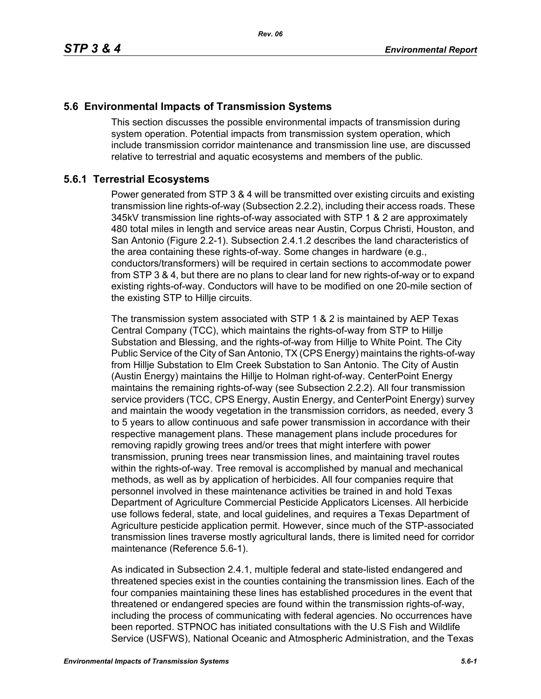# **5.6 Environmental Impacts of Transmission Systems**

This section discusses the possible environmental impacts of transmission during system operation. Potential impacts from transmission system operation, which include transmission corridor maintenance and transmission line use, are discussed relative to terrestrial and aquatic ecosystems and members of the public.

# **5.6.1 Terrestrial Ecosystems**

Power generated from STP 3 & 4 will be transmitted over existing circuits and existing transmission line rights-of-way (Subsection 2.2.2), including their access roads. These 345kV transmission line rights-of-way associated with STP 1 & 2 are approximately 480 total miles in length and service areas near Austin, Corpus Christi, Houston, and San Antonio (Figure 2.2-1). Subsection 2.4.1.2 describes the land characteristics of the area containing these rights-of-way. Some changes in hardware (e.g., conductors/transformers) will be required in certain sections to accommodate power from STP 3 & 4, but there are no plans to clear land for new rights-of-way or to expand existing rights-of-way. Conductors will have to be modified on one 20-mile section of the existing STP to Hillje circuits.

The transmission system associated with STP 1 & 2 is maintained by AEP Texas Central Company (TCC), which maintains the rights-of-way from STP to Hillje Substation and Blessing, and the rights-of-way from Hillje to White Point. The City Public Service of the City of San Antonio, TX (CPS Energy) maintains the rights-of-way from Hillje Substation to Elm Creek Substation to San Antonio. The City of Austin (Austin Energy) maintains the Hillje to Holman right-of-way. CenterPoint Energy maintains the remaining rights-of-way (see Subsection 2.2.2). All four transmission service providers (TCC, CPS Energy, Austin Energy, and CenterPoint Energy) survey and maintain the woody vegetation in the transmission corridors, as needed, every 3 to 5 years to allow continuous and safe power transmission in accordance with their respective management plans. These management plans include procedures for removing rapidly growing trees and/or trees that might interfere with power transmission, pruning trees near transmission lines, and maintaining travel routes within the rights-of-way. Tree removal is accomplished by manual and mechanical methods, as well as by application of herbicides. All four companies require that personnel involved in these maintenance activities be trained in and hold Texas Department of Agriculture Commercial Pesticide Applicators Licenses. All herbicide use follows federal, state, and local guidelines, and requires a Texas Department of Agriculture pesticide application permit. However, since much of the STP-associated transmission lines traverse mostly agricultural lands, there is limited need for corridor maintenance (Reference 5.6-1).

As indicated in Subsection 2.4.1, multiple federal and state-listed endangered and threatened species exist in the counties containing the transmission lines. Each of the four companies maintaining these lines has established procedures in the event that threatened or endangered species are found within the transmission rights-of-way, including the process of communicating with federal agencies. No occurrences have been reported. STPNOC has initiated consultations with the U.S Fish and Wildlife Service (USFWS), National Oceanic and Atmospheric Administration, and the Texas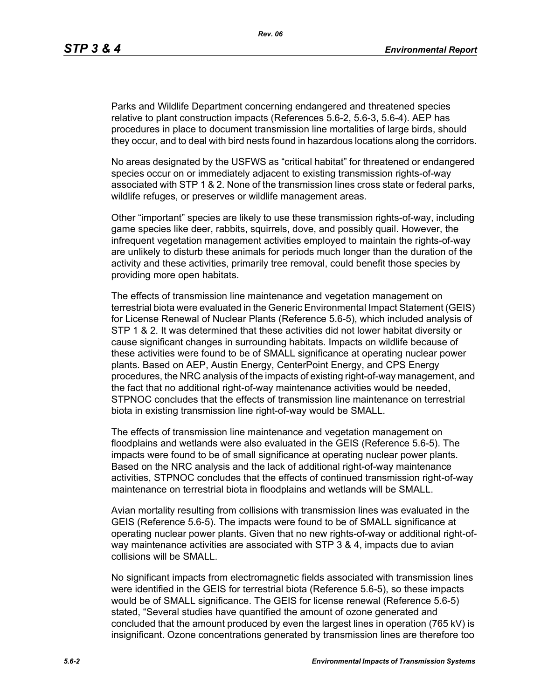Parks and Wildlife Department concerning endangered and threatened species relative to plant construction impacts (References 5.6-2, 5.6-3, 5.6-4). AEP has procedures in place to document transmission line mortalities of large birds, should they occur, and to deal with bird nests found in hazardous locations along the corridors.

No areas designated by the USFWS as "critical habitat" for threatened or endangered species occur on or immediately adjacent to existing transmission rights-of-way associated with STP 1 & 2. None of the transmission lines cross state or federal parks, wildlife refuges, or preserves or wildlife management areas.

Other "important" species are likely to use these transmission rights-of-way, including game species like deer, rabbits, squirrels, dove, and possibly quail. However, the infrequent vegetation management activities employed to maintain the rights-of-way are unlikely to disturb these animals for periods much longer than the duration of the activity and these activities, primarily tree removal, could benefit those species by providing more open habitats.

The effects of transmission line maintenance and vegetation management on terrestrial biota were evaluated in the Generic Environmental Impact Statement (GEIS) for License Renewal of Nuclear Plants (Reference 5.6-5), which included analysis of STP 1 & 2. It was determined that these activities did not lower habitat diversity or cause significant changes in surrounding habitats. Impacts on wildlife because of these activities were found to be of SMALL significance at operating nuclear power plants. Based on AEP, Austin Energy, CenterPoint Energy, and CPS Energy procedures, the NRC analysis of the impacts of existing right-of-way management, and the fact that no additional right-of-way maintenance activities would be needed, STPNOC concludes that the effects of transmission line maintenance on terrestrial biota in existing transmission line right-of-way would be SMALL.

The effects of transmission line maintenance and vegetation management on floodplains and wetlands were also evaluated in the GEIS (Reference 5.6-5). The impacts were found to be of small significance at operating nuclear power plants. Based on the NRC analysis and the lack of additional right-of-way maintenance activities, STPNOC concludes that the effects of continued transmission right-of-way maintenance on terrestrial biota in floodplains and wetlands will be SMALL.

Avian mortality resulting from collisions with transmission lines was evaluated in the GEIS (Reference 5.6-5). The impacts were found to be of SMALL significance at operating nuclear power plants. Given that no new rights-of-way or additional right-ofway maintenance activities are associated with STP 3 & 4, impacts due to avian collisions will be SMALL.

No significant impacts from electromagnetic fields associated with transmission lines were identified in the GEIS for terrestrial biota (Reference 5.6-5), so these impacts would be of SMALL significance. The GEIS for license renewal (Reference 5.6-5) stated, "Several studies have quantified the amount of ozone generated and concluded that the amount produced by even the largest lines in operation (765 kV) is insignificant. Ozone concentrations generated by transmission lines are therefore too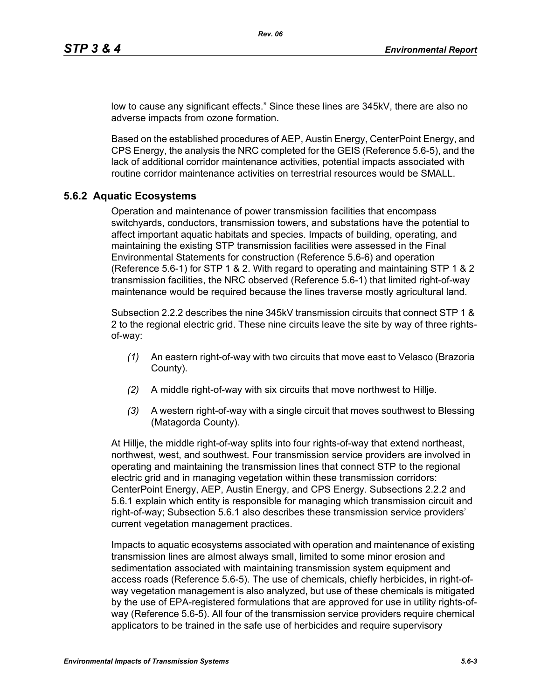low to cause any significant effects." Since these lines are 345kV, there are also no adverse impacts from ozone formation.

Based on the established procedures of AEP, Austin Energy, CenterPoint Energy, and CPS Energy, the analysis the NRC completed for the GEIS (Reference 5.6-5), and the lack of additional corridor maintenance activities, potential impacts associated with routine corridor maintenance activities on terrestrial resources would be SMALL.

#### **5.6.2 Aquatic Ecosystems**

Operation and maintenance of power transmission facilities that encompass switchyards, conductors, transmission towers, and substations have the potential to affect important aquatic habitats and species. Impacts of building, operating, and maintaining the existing STP transmission facilities were assessed in the Final Environmental Statements for construction (Reference 5.6-6) and operation (Reference 5.6-1) for STP 1 & 2. With regard to operating and maintaining STP 1 & 2 transmission facilities, the NRC observed (Reference 5.6-1) that limited right-of-way maintenance would be required because the lines traverse mostly agricultural land.

Subsection 2.2.2 describes the nine 345kV transmission circuits that connect STP 1 & 2 to the regional electric grid. These nine circuits leave the site by way of three rightsof-way:

- *(1)* An eastern right-of-way with two circuits that move east to Velasco (Brazoria County).
- *(2)* A middle right-of-way with six circuits that move northwest to Hillje.
- *(3)* A western right-of-way with a single circuit that moves southwest to Blessing (Matagorda County).

At Hillje, the middle right-of-way splits into four rights-of-way that extend northeast, northwest, west, and southwest. Four transmission service providers are involved in operating and maintaining the transmission lines that connect STP to the regional electric grid and in managing vegetation within these transmission corridors: CenterPoint Energy, AEP, Austin Energy, and CPS Energy. Subsections 2.2.2 and 5.6.1 explain which entity is responsible for managing which transmission circuit and right-of-way; Subsection 5.6.1 also describes these transmission service providers' current vegetation management practices.

Impacts to aquatic ecosystems associated with operation and maintenance of existing transmission lines are almost always small, limited to some minor erosion and sedimentation associated with maintaining transmission system equipment and access roads (Reference 5.6-5). The use of chemicals, chiefly herbicides, in right-ofway vegetation management is also analyzed, but use of these chemicals is mitigated by the use of EPA-registered formulations that are approved for use in utility rights-ofway (Reference 5.6-5). All four of the transmission service providers require chemical applicators to be trained in the safe use of herbicides and require supervisory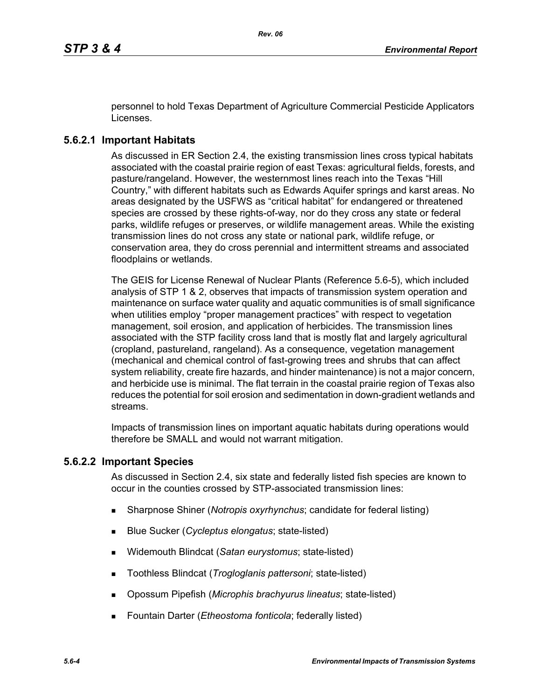personnel to hold Texas Department of Agriculture Commercial Pesticide Applicators Licenses.

# **5.6.2.1 Important Habitats**

As discussed in ER Section 2.4, the existing transmission lines cross typical habitats associated with the coastal prairie region of east Texas: agricultural fields, forests, and pasture/rangeland. However, the westernmost lines reach into the Texas "Hill Country," with different habitats such as Edwards Aquifer springs and karst areas. No areas designated by the USFWS as "critical habitat" for endangered or threatened species are crossed by these rights-of-way, nor do they cross any state or federal parks, wildlife refuges or preserves, or wildlife management areas. While the existing transmission lines do not cross any state or national park, wildlife refuge, or conservation area, they do cross perennial and intermittent streams and associated floodplains or wetlands.

The GEIS for License Renewal of Nuclear Plants (Reference 5.6-5), which included analysis of STP 1 & 2, observes that impacts of transmission system operation and maintenance on surface water quality and aquatic communities is of small significance when utilities employ "proper management practices" with respect to vegetation management, soil erosion, and application of herbicides. The transmission lines associated with the STP facility cross land that is mostly flat and largely agricultural (cropland, pastureland, rangeland). As a consequence, vegetation management (mechanical and chemical control of fast-growing trees and shrubs that can affect system reliability, create fire hazards, and hinder maintenance) is not a major concern, and herbicide use is minimal. The flat terrain in the coastal prairie region of Texas also reduces the potential for soil erosion and sedimentation in down-gradient wetlands and streams.

Impacts of transmission lines on important aquatic habitats during operations would therefore be SMALL and would not warrant mitigation.

## **5.6.2.2 Important Species**

As discussed in Section 2.4, six state and federally listed fish species are known to occur in the counties crossed by STP-associated transmission lines:

- Sharpnose Shiner (*Notropis oxyrhynchus*; candidate for federal listing)
- Blue Sucker (*Cycleptus elongatus*; state-listed)
- Widemouth Blindcat (*Satan eurystomus*; state-listed)
- Toothless Blindcat (*Trogloglanis pattersoni*; state-listed)
- Opossum Pipefish (*Microphis brachyurus lineatus*; state-listed)
- Fountain Darter (*Etheostoma fonticola*; federally listed)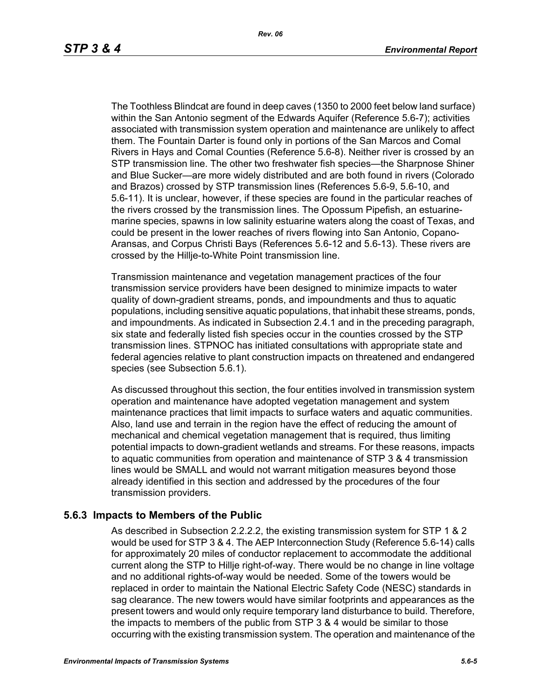The Toothless Blindcat are found in deep caves (1350 to 2000 feet below land surface) within the San Antonio segment of the Edwards Aquifer (Reference 5.6-7); activities associated with transmission system operation and maintenance are unlikely to affect them. The Fountain Darter is found only in portions of the San Marcos and Comal Rivers in Hays and Comal Counties (Reference 5.6-8). Neither river is crossed by an STP transmission line. The other two freshwater fish species—the Sharpnose Shiner and Blue Sucker—are more widely distributed and are both found in rivers (Colorado and Brazos) crossed by STP transmission lines (References 5.6-9, 5.6-10, and 5.6-11). It is unclear, however, if these species are found in the particular reaches of the rivers crossed by the transmission lines. The Opossum Pipefish, an estuarinemarine species, spawns in low salinity estuarine waters along the coast of Texas, and could be present in the lower reaches of rivers flowing into San Antonio, Copano-Aransas, and Corpus Christi Bays (References 5.6-12 and 5.6-13). These rivers are crossed by the Hillje-to-White Point transmission line.

Transmission maintenance and vegetation management practices of the four transmission service providers have been designed to minimize impacts to water quality of down-gradient streams, ponds, and impoundments and thus to aquatic populations, including sensitive aquatic populations, that inhabit these streams, ponds, and impoundments. As indicated in Subsection 2.4.1 and in the preceding paragraph, six state and federally listed fish species occur in the counties crossed by the STP transmission lines. STPNOC has initiated consultations with appropriate state and federal agencies relative to plant construction impacts on threatened and endangered species (see Subsection 5.6.1).

As discussed throughout this section, the four entities involved in transmission system operation and maintenance have adopted vegetation management and system maintenance practices that limit impacts to surface waters and aquatic communities. Also, land use and terrain in the region have the effect of reducing the amount of mechanical and chemical vegetation management that is required, thus limiting potential impacts to down-gradient wetlands and streams. For these reasons, impacts to aquatic communities from operation and maintenance of STP 3 & 4 transmission lines would be SMALL and would not warrant mitigation measures beyond those already identified in this section and addressed by the procedures of the four transmission providers.

#### **5.6.3 Impacts to Members of the Public**

As described in Subsection 2.2.2.2, the existing transmission system for STP 1 & 2 would be used for STP 3 & 4. The AEP Interconnection Study (Reference 5.6-14) calls for approximately 20 miles of conductor replacement to accommodate the additional current along the STP to Hillje right-of-way. There would be no change in line voltage and no additional rights-of-way would be needed. Some of the towers would be replaced in order to maintain the National Electric Safety Code (NESC) standards in sag clearance. The new towers would have similar footprints and appearances as the present towers and would only require temporary land disturbance to build. Therefore, the impacts to members of the public from STP 3 & 4 would be similar to those occurring with the existing transmission system. The operation and maintenance of the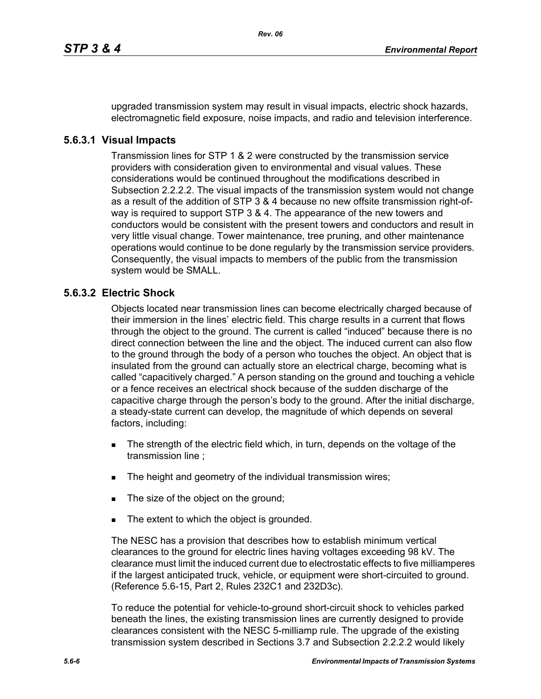upgraded transmission system may result in visual impacts, electric shock hazards, electromagnetic field exposure, noise impacts, and radio and television interference.

#### **5.6.3.1 Visual Impacts**

Transmission lines for STP 1 & 2 were constructed by the transmission service providers with consideration given to environmental and visual values. These considerations would be continued throughout the modifications described in Subsection 2.2.2.2. The visual impacts of the transmission system would not change as a result of the addition of STP 3 & 4 because no new offsite transmission right-ofway is required to support STP 3 & 4. The appearance of the new towers and conductors would be consistent with the present towers and conductors and result in very little visual change. Tower maintenance, tree pruning, and other maintenance operations would continue to be done regularly by the transmission service providers. Consequently, the visual impacts to members of the public from the transmission system would be SMALL.

## **5.6.3.2 Electric Shock**

Objects located near transmission lines can become electrically charged because of their immersion in the lines' electric field. This charge results in a current that flows through the object to the ground. The current is called "induced" because there is no direct connection between the line and the object. The induced current can also flow to the ground through the body of a person who touches the object. An object that is insulated from the ground can actually store an electrical charge, becoming what is called "capacitively charged." A person standing on the ground and touching a vehicle or a fence receives an electrical shock because of the sudden discharge of the capacitive charge through the person's body to the ground. After the initial discharge, a steady-state current can develop, the magnitude of which depends on several factors, including:

- The strength of the electric field which, in turn, depends on the voltage of the transmission line ;
- The height and geometry of the individual transmission wires;
- The size of the object on the ground;
- The extent to which the object is grounded.

The NESC has a provision that describes how to establish minimum vertical clearances to the ground for electric lines having voltages exceeding 98 kV. The clearance must limit the induced current due to electrostatic effects to five milliamperes if the largest anticipated truck, vehicle, or equipment were short-circuited to ground. (Reference 5.6-15, Part 2, Rules 232C1 and 232D3c).

To reduce the potential for vehicle-to-ground short-circuit shock to vehicles parked beneath the lines, the existing transmission lines are currently designed to provide clearances consistent with the NESC 5-milliamp rule. The upgrade of the existing transmission system described in Sections 3.7 and Subsection 2.2.2.2 would likely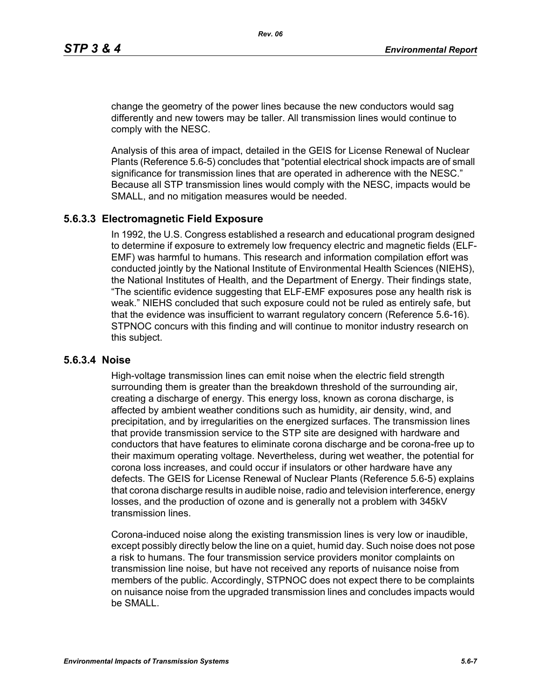change the geometry of the power lines because the new conductors would sag differently and new towers may be taller. All transmission lines would continue to comply with the NESC.

Analysis of this area of impact, detailed in the GEIS for License Renewal of Nuclear Plants (Reference 5.6-5) concludes that "potential electrical shock impacts are of small significance for transmission lines that are operated in adherence with the NESC." Because all STP transmission lines would comply with the NESC, impacts would be SMALL, and no mitigation measures would be needed.

#### **5.6.3.3 Electromagnetic Field Exposure**

In 1992, the U.S. Congress established a research and educational program designed to determine if exposure to extremely low frequency electric and magnetic fields (ELF-EMF) was harmful to humans. This research and information compilation effort was conducted jointly by the National Institute of Environmental Health Sciences (NIEHS), the National Institutes of Health, and the Department of Energy. Their findings state, "The scientific evidence suggesting that ELF-EMF exposures pose any health risk is weak." NIEHS concluded that such exposure could not be ruled as entirely safe, but that the evidence was insufficient to warrant regulatory concern (Reference 5.6-16). STPNOC concurs with this finding and will continue to monitor industry research on this subject.

#### **5.6.3.4 Noise**

High-voltage transmission lines can emit noise when the electric field strength surrounding them is greater than the breakdown threshold of the surrounding air, creating a discharge of energy. This energy loss, known as corona discharge, is affected by ambient weather conditions such as humidity, air density, wind, and precipitation, and by irregularities on the energized surfaces. The transmission lines that provide transmission service to the STP site are designed with hardware and conductors that have features to eliminate corona discharge and be corona-free up to their maximum operating voltage. Nevertheless, during wet weather, the potential for corona loss increases, and could occur if insulators or other hardware have any defects. The GEIS for License Renewal of Nuclear Plants (Reference 5.6-5) explains that corona discharge results in audible noise, radio and television interference, energy losses, and the production of ozone and is generally not a problem with 345kV transmission lines.

Corona-induced noise along the existing transmission lines is very low or inaudible, except possibly directly below the line on a quiet, humid day. Such noise does not pose a risk to humans. The four transmission service providers monitor complaints on transmission line noise, but have not received any reports of nuisance noise from members of the public. Accordingly, STPNOC does not expect there to be complaints on nuisance noise from the upgraded transmission lines and concludes impacts would be SMALL.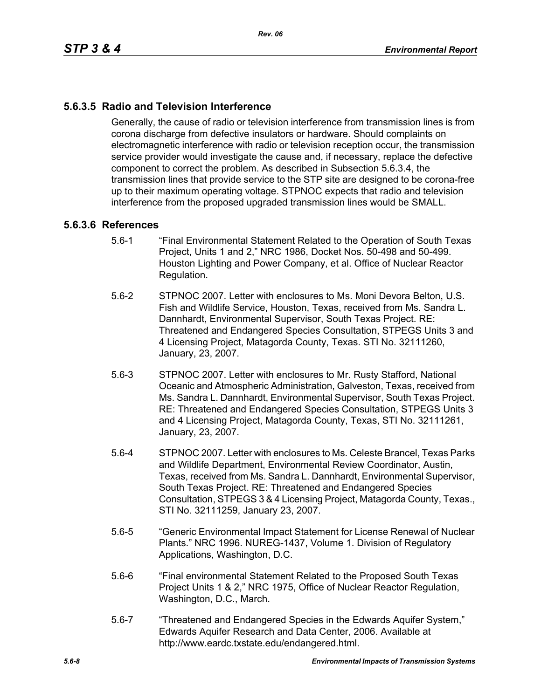# **5.6.3.5 Radio and Television Interference**

Generally, the cause of radio or television interference from transmission lines is from corona discharge from defective insulators or hardware. Should complaints on electromagnetic interference with radio or television reception occur, the transmission service provider would investigate the cause and, if necessary, replace the defective component to correct the problem. As described in Subsection 5.6.3.4, the transmission lines that provide service to the STP site are designed to be corona-free up to their maximum operating voltage. STPNOC expects that radio and television interference from the proposed upgraded transmission lines would be SMALL.

#### **5.6.3.6 References**

- 5.6-1 "Final Environmental Statement Related to the Operation of South Texas Project, Units 1 and 2," NRC 1986, Docket Nos. 50-498 and 50-499. Houston Lighting and Power Company, et al. Office of Nuclear Reactor Regulation.
- 5.6-2 STPNOC 2007. Letter with enclosures to Ms. Moni Devora Belton, U.S. Fish and Wildlife Service, Houston, Texas, received from Ms. Sandra L. Dannhardt, Environmental Supervisor, South Texas Project. RE: Threatened and Endangered Species Consultation, STPEGS Units 3 and 4 Licensing Project, Matagorda County, Texas. STI No. 32111260, January, 23, 2007.
- 5.6-3 STPNOC 2007. Letter with enclosures to Mr. Rusty Stafford, National Oceanic and Atmospheric Administration, Galveston, Texas, received from Ms. Sandra L. Dannhardt, Environmental Supervisor, South Texas Project. RE: Threatened and Endangered Species Consultation, STPEGS Units 3 and 4 Licensing Project, Matagorda County, Texas, STI No. 32111261, January, 23, 2007.
- 5.6-4 STPNOC 2007. Letter with enclosures to Ms. Celeste Brancel, Texas Parks and Wildlife Department, Environmental Review Coordinator, Austin, Texas, received from Ms. Sandra L. Dannhardt, Environmental Supervisor, South Texas Project. RE: Threatened and Endangered Species Consultation, STPEGS 3 & 4 Licensing Project, Matagorda County, Texas., STI No. 32111259, January 23, 2007.
- 5.6-5 "Generic Environmental Impact Statement for License Renewal of Nuclear Plants." NRC 1996. NUREG-1437, Volume 1. Division of Regulatory Applications, Washington, D.C.
- 5.6-6 "Final environmental Statement Related to the Proposed South Texas Project Units 1 & 2," NRC 1975, Office of Nuclear Reactor Regulation, Washington, D.C., March.
- 5.6-7 "Threatened and Endangered Species in the Edwards Aquifer System," Edwards Aquifer Research and Data Center, 2006. Available at http://www.eardc.txstate.edu/endangered.html.